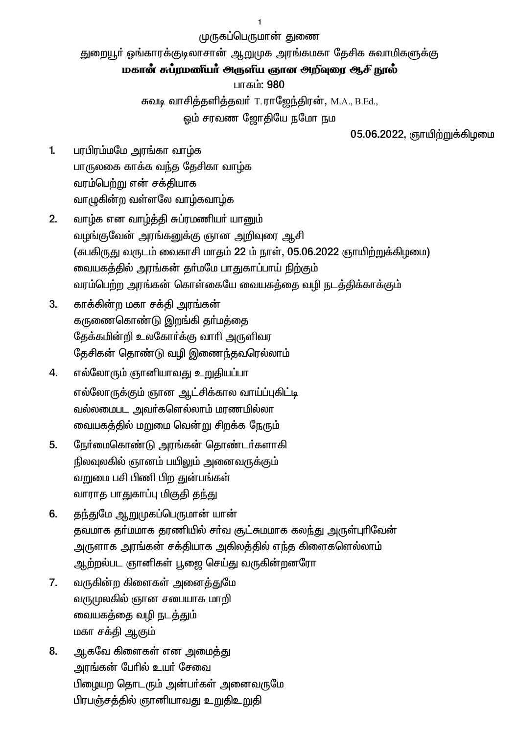முருகப்பெருமான் துணை

துறையூர் ஓங்காரக்குடிலாசான் ஆறுமுக அரங்கமகா தேசிக சுவாமிகளுக்கு

## மகான் சுப்ரமணீயா அருளிய ஞான அறிவுரை ஆசி நூல்

பாகம்: 980

சுவடி வாசித்தளித்தவர் T.ராஜேந்திரன், M.A., B.Ed.,

ஒம் சரவண ஜோதியே நமோ நம

05.06.2022, ஞாயிற்றுக்கிழமை

- $1<sub>1</sub>$ பரபிரம்மமே அரங்கா வாழ்க பாருலகை காக்க வந்த தேசிகா வாழ்க வரம்பெற்று என் சக்தியாக வாழுகின்ற வள்ளலே வாழ்கவாழ்க
- வாழ்க என வாழ்த்தி சுப்ரமணியர் யானும்  $2.$ வழங்குவேன் அரங்கனுக்கு ஞான அறிவுரை ஆசி (சுபகிருது வருடம் வைகாசி மாதம் 22 ம் நாள், 05.06.2022 ஞாயிற்றுக்கிழமை) வையகத்தில் அரங்கன் தா்மமே பாதுகாப்பாய் நிற்கும் வரம்பெற்ற அரங்கன் கொள்கையே வையகத்தை வழி நடத்திக்காக்கும்
- $3<sub>l</sub>$ காக்கின்ற மகா சக்தி அரங்கன் கருணைகொண்டு இறங்கி தர்மக்கை தேக்கமின்றி உலகோா்க்கு வாாி அருளிவர தேசிகன் தொண்டு வழி இணைந்தவரெல்லாம்
- 4. எல்லோரும் ஞானியாவது உறுதியப்பா எல்லோருக்கும் ஞான ஆட்சிக்கால வாய்ப்புகிட்டி வல்லமைபட அவா்களெல்லாம் மரணமில்லா வையகத்தில் மறுமை வென்று சிறக்க நேரும்
- $5<sub>1</sub>$ நேர்மைகொண்டு அரங்கன் தொண்டர்களாகி நிலவுலகில் ஞானம் பயிலும் அனைவருக்கும் வறுமை பசி பிணி பிற துன்பங்கள் வாராத பாதுகாப்பு மிகுதி தந்து
- தந்துமே ஆறுமுகப்பெருமான் யான் 6. தவமாக தர்மமாக தரணியில் சர்வ சூட்சுமமாக கலந்து அருள்புரிவேன் அருளாக அரங்கன் சக்தியாக அகிலத்தில் எந்த கிளைகளெல்லாம் ஆற்றல்பட ஞானிகள் பூஜை செய்து வருகின்றனரோ
- $7.$ வருகின்ற கிளைகள் அனைத்துமே வருமுலகில் ஞான சபையாக மாறி வையகத்தை வழி நடத்தும் மகா சக்தி ஆகும்
- 8. ஆகவே கிளைகள் என அமைத்து அரங்கன் பேரில் உயர் சேவை பிழையற தொடரும் அன்பர்கள் அனைவருமே பிரபஞ்சத்தில் ஞானியாவது உறுதிஉறுதி